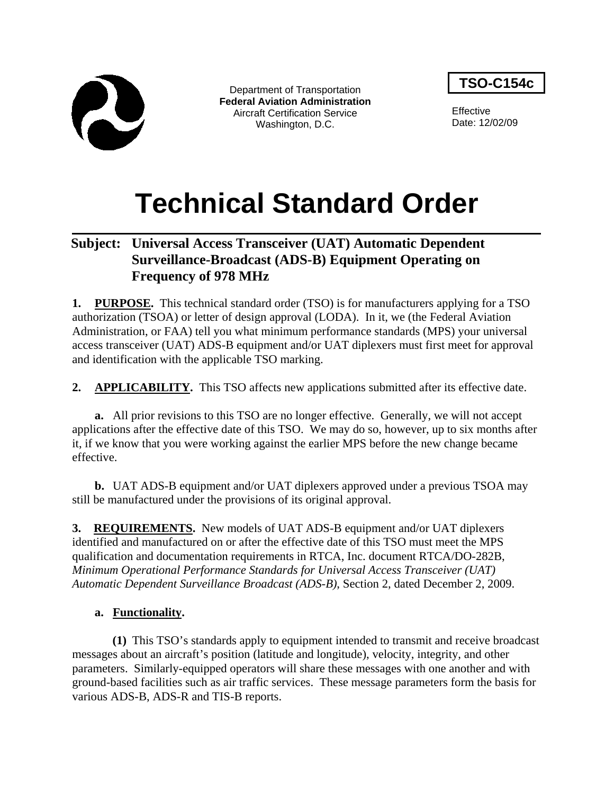

Department of Transportation **Federal Aviation Administration** Aircraft Certification Service Washington, D.C.

**TSO-C154c**

**Effective** Date: 12/02/09

# **Technical Standard Order**

## **Subject: Universal Access Transceiver (UAT) Automatic Dependent Surveillance-Broadcast (ADS-B) Equipment Operating on Frequency of 978 MHz**

**1. PURPOSE.** This technical standard order (TSO) is for manufacturers applying for a TSO authorization (TSOA) or letter of design approval (LODA). In it, we (the Federal Aviation Administration, or FAA) tell you what minimum performance standards (MPS) your universal access transceiver (UAT) ADS-B equipment and/or UAT diplexers must first meet for approval and identification with the applicable TSO marking.

**2. APPLICABILITY.** This TSO affects new applications submitted after its effective date.

**a.** All prior revisions to this TSO are no longer effective. Generally, we will not accept applications after the effective date of this TSO. We may do so, however, up to six months after it, if we know that you were working against the earlier MPS before the new change became effective.

**b.** UAT ADS-B equipment and/or UAT diplexers approved under a previous TSOA may still be manufactured under the provisions of its original approval.

**3. REQUIREMENTS.** New models of UAT ADS-B equipment and/or UAT diplexers identified and manufactured on or after the effective date of this TSO must meet the MPS qualification and documentation requirements in RTCA, Inc. document RTCA/DO-282B, *Minimum Operational Performance Standards for Universal Access Transceiver (UAT) Automatic Dependent Surveillance Broadcast (ADS-B)*, Section 2, dated December 2, 2009.

## **a. Functionality.**

**(1)** This TSO's standards apply to equipment intended to transmit and receive broadcast messages about an aircraft's position (latitude and longitude), velocity, integrity, and other parameters. Similarly-equipped operators will share these messages with one another and with ground-based facilities such as air traffic services. These message parameters form the basis for various ADS-B, ADS-R and TIS-B reports.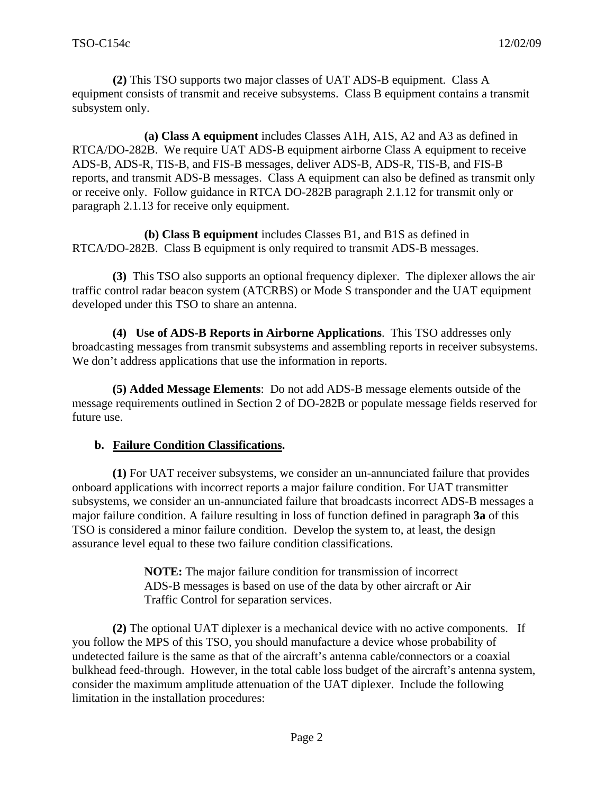**(2)** This TSO supports two major classes of UAT ADS-B equipment. Class A equipment consists of transmit and receive subsystems. Class B equipment contains a transmit subsystem only.

**(a) Class A equipment** includes Classes A1H, A1S, A2 and A3 as defined in RTCA/DO-282B. We require UAT ADS-B equipment airborne Class A equipment to receive ADS-B, ADS-R, TIS-B, and FIS-B messages, deliver ADS-B, ADS-R, TIS-B, and FIS-B reports, and transmit ADS-B messages. Class A equipment can also be defined as transmit only or receive only. Follow guidance in RTCA DO-282B paragraph 2.1.12 for transmit only or paragraph 2.1.13 for receive only equipment.

**(b) Class B equipment** includes Classes B1, and B1S as defined in RTCA/DO-282B. Class B equipment is only required to transmit ADS-B messages.

**(3)** This TSO also supports an optional frequency diplexer. The diplexer allows the air traffic control radar beacon system (ATCRBS) or Mode S transponder and the UAT equipment developed under this TSO to share an antenna.

**(4) Use of ADS-B Reports in Airborne Applications**. This TSO addresses only broadcasting messages from transmit subsystems and assembling reports in receiver subsystems. We don't address applications that use the information in reports.

**(5) Added Message Elements**: Do not add ADS-B message elements outside of the message requirements outlined in Section 2 of DO-282B or populate message fields reserved for future use.

#### **b. Failure Condition Classifications.**

**(1)** For UAT receiver subsystems, we consider an un-annunciated failure that provides onboard applications with incorrect reports a major failure condition. For UAT transmitter subsystems, we consider an un-annunciated failure that broadcasts incorrect ADS-B messages a major failure condition. A failure resulting in loss of function defined in paragraph **3a** of this TSO is considered a minor failure condition. Develop the system to, at least, the design assurance level equal to these two failure condition classifications.

> **NOTE:** The major failure condition for transmission of incorrect ADS-B messages is based on use of the data by other aircraft or Air Traffic Control for separation services.

**(2)** The optional UAT diplexer is a mechanical device with no active components. If you follow the MPS of this TSO, you should manufacture a device whose probability of undetected failure is the same as that of the aircraft's antenna cable/connectors or a coaxial bulkhead feed-through. However, in the total cable loss budget of the aircraft's antenna system, consider the maximum amplitude attenuation of the UAT diplexer. Include the following limitation in the installation procedures: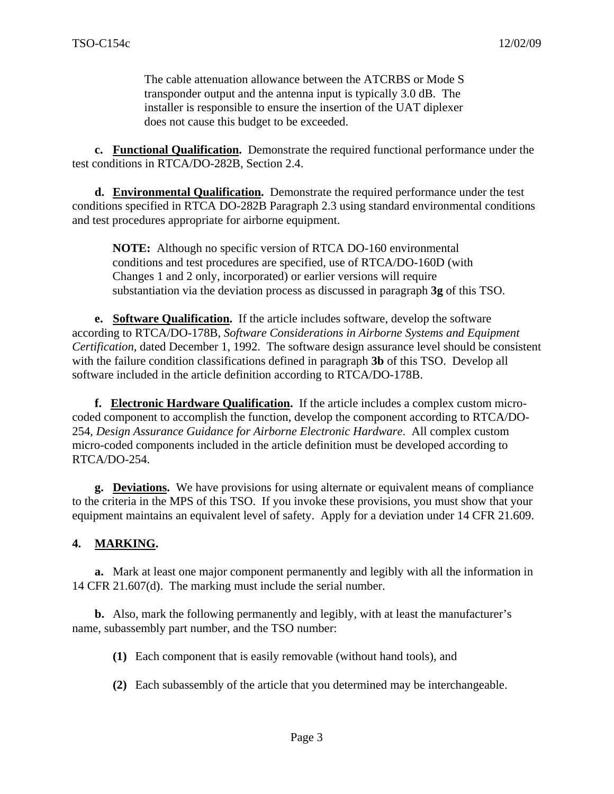The cable attenuation allowance between the ATCRBS or Mode S transponder output and the antenna input is typically 3.0 dB. The installer is responsible to ensure the insertion of the UAT diplexer does not cause this budget to be exceeded.

**c. Functional Qualification.** Demonstrate the required functional performance under the test conditions in RTCA/DO-282B, Section 2.4.

**d. Environmental Qualification.** Demonstrate the required performance under the test conditions specified in RTCA DO-282B Paragraph 2.3 using standard environmental conditions and test procedures appropriate for airborne equipment.

**NOTE:** Although no specific version of RTCA DO-160 environmental conditions and test procedures are specified, use of RTCA/DO-160D (with Changes 1 and 2 only, incorporated) or earlier versions will require substantiation via the deviation process as discussed in paragraph **3g** of this TSO.

 **e. Software Qualification.** If the article includes software, develop the software according to RTCA/DO-178B, *Software Considerations in Airborne Systems and Equipment Certification*, dated December 1, 1992. The software design assurance level should be consistent with the failure condition classifications defined in paragraph **3b** of this TSO. Develop all software included in the article definition according to RTCA/DO-178B.

 **f. Electronic Hardware Qualification.** If the article includes a complex custom microcoded component to accomplish the function, develop the component according to RTCA/DO-254, *Design Assurance Guidance for Airborne Electronic Hardware*. All complex custom micro-coded components included in the article definition must be developed according to RTCA/DO-254.

**g. Deviations.** We have provisions for using alternate or equivalent means of compliance to the criteria in the MPS of this TSO. If you invoke these provisions, you must show that your equipment maintains an equivalent level of safety. Apply for a deviation under 14 CFR 21.609.

#### **4. MARKING.**

**a.** Mark at least one major component permanently and legibly with all the information in 14 CFR 21.607(d). The marking must include the serial number.

**b.** Also, mark the following permanently and legibly, with at least the manufacturer's name, subassembly part number, and the TSO number:

**(1)** Each component that is easily removable (without hand tools), and

**(2)** Each subassembly of the article that you determined may be interchangeable.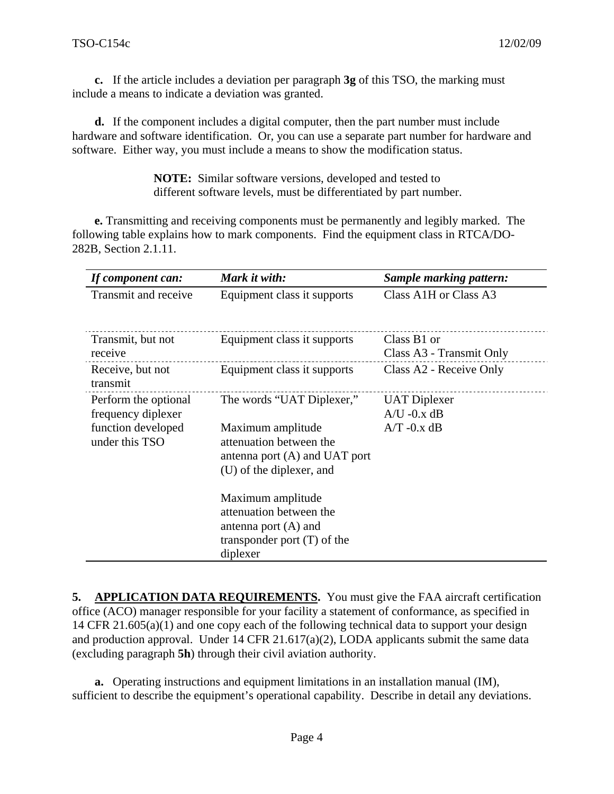**c.** If the article includes a deviation per paragraph **3g** of this TSO, the marking must include a means to indicate a deviation was granted.

**d.** If the component includes a digital computer, then the part number must include hardware and software identification. Or, you can use a separate part number for hardware and software. Either way, you must include a means to show the modification status.

> **NOTE:** Similar software versions, developed and tested to different software levels, must be differentiated by part number.

**e.** Transmitting and receiving components must be permanently and legibly marked. The following table explains how to mark components. Find the equipment class in RTCA/DO-282B, Section 2.1.11.

| If component can:                                                                  | Mark it with:                                                                                                                            | Sample marking pattern:                                |
|------------------------------------------------------------------------------------|------------------------------------------------------------------------------------------------------------------------------------------|--------------------------------------------------------|
| Transmit and receive                                                               | Equipment class it supports                                                                                                              | Class A1H or Class A3                                  |
| Transmit, but not<br>receive                                                       | Equipment class it supports                                                                                                              | Class B1 or<br>Class A3 - Transmit Only                |
| Receive, but not<br>transmit                                                       | Equipment class it supports                                                                                                              | Class A2 - Receive Only                                |
| Perform the optional<br>frequency diplexer<br>function developed<br>under this TSO | The words "UAT Diplexer,"<br>Maximum amplitude<br>attenuation between the<br>antenna port $(A)$ and UAT port<br>(U) of the diplexer, and | <b>UAT</b> Diplexer<br>$A/U - 0.x dB$<br>$A/T -0.x dB$ |
|                                                                                    | Maximum amplitude<br>attenuation between the<br>antenna port $(A)$ and<br>transponder port $(T)$ of the<br>diplexer                      |                                                        |

**5. APPLICATION DATA REQUIREMENTS.** You must give the FAA aircraft certification office (ACO) manager responsible for your facility a statement of conformance, as specified in 14 CFR 21.605(a)(1) and one copy each of the following technical data to support your design and production approval. Under 14 CFR 21.617(a)(2), LODA applicants submit the same data (excluding paragraph **5h**) through their civil aviation authority.

**a.** Operating instructions and equipment limitations in an installation manual (IM), sufficient to describe the equipment's operational capability. Describe in detail any deviations.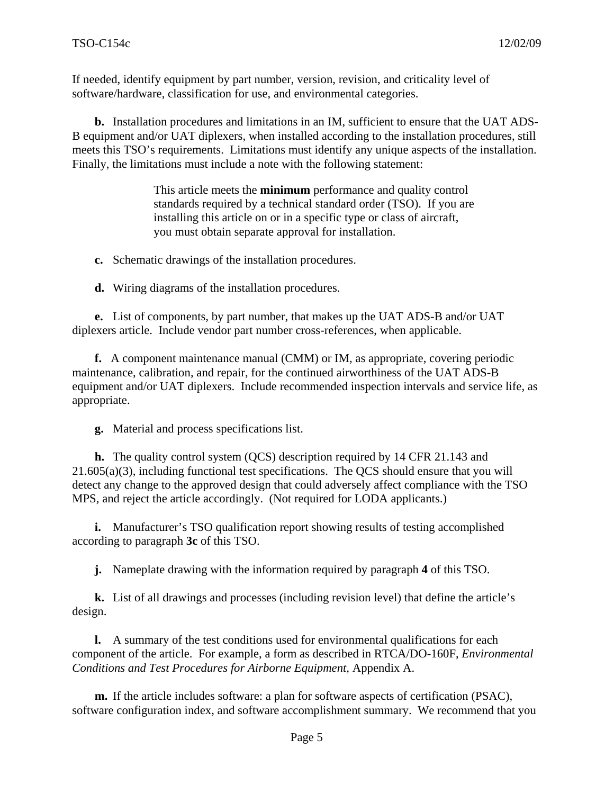If needed, identify equipment by part number, version, revision, and criticality level of software/hardware, classification for use, and environmental categories.

**b.** Installation procedures and limitations in an IM, sufficient to ensure that the UAT ADS-B equipment and/or UAT diplexers, when installed according to the installation procedures, still meets this TSO's requirements. Limitations must identify any unique aspects of the installation. Finally, the limitations must include a note with the following statement:

> This article meets the **minimum** performance and quality control standards required by a technical standard order (TSO). If you are installing this article on or in a specific type or class of aircraft, you must obtain separate approval for installation.

**c.** Schematic drawings of the installation procedures.

**d.** Wiring diagrams of the installation procedures.

**e.** List of components, by part number, that makes up the UAT ADS-B and/or UAT diplexers article. Include vendor part number cross-references, when applicable.

**f.** A component maintenance manual (CMM) or IM, as appropriate, covering periodic maintenance, calibration, and repair, for the continued airworthiness of the UAT ADS-B equipment and/or UAT diplexers. Include recommended inspection intervals and service life, as appropriate.

**g.** Material and process specifications list.

**h.** The quality control system (QCS) description required by 14 CFR 21.143 and 21.605(a)(3), including functional test specifications. The QCS should ensure that you will detect any change to the approved design that could adversely affect compliance with the TSO MPS, and reject the article accordingly. (Not required for LODA applicants.)

**i.** Manufacturer's TSO qualification report showing results of testing accomplished according to paragraph **3c** of this TSO.

**j.** Nameplate drawing with the information required by paragraph **4** of this TSO.

**k.** List of all drawings and processes (including revision level) that define the article's design.

**l.** A summary of the test conditions used for environmental qualifications for each component of the article. For example, a form as described in RTCA/DO-160F, *Environmental Conditions and Test Procedures for Airborne Equipment,* Appendix A.

**m.** If the article includes software: a plan for software aspects of certification (PSAC), software configuration index, and software accomplishment summary. We recommend that you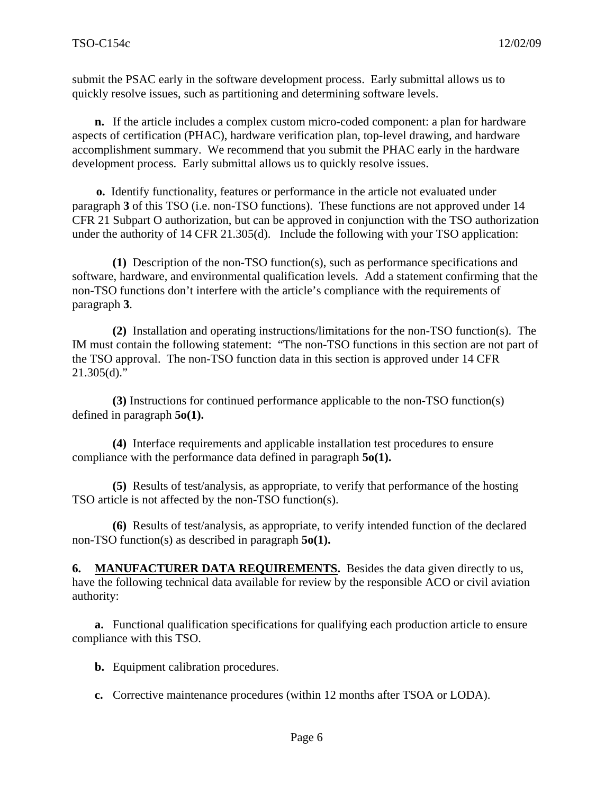submit the PSAC early in the software development process. Early submittal allows us to quickly resolve issues, such as partitioning and determining software levels.

**n.** If the article includes a complex custom micro-coded component: a plan for hardware aspects of certification (PHAC), hardware verification plan, top-level drawing, and hardware accomplishment summary. We recommend that you submit the PHAC early in the hardware development process. Early submittal allows us to quickly resolve issues.

**o.** Identify functionality, features or performance in the article not evaluated under paragraph **3** of this TSO (i.e. non-TSO functions). These functions are not approved under 14 CFR 21 Subpart O authorization, but can be approved in conjunction with the TSO authorization under the authority of 14 CFR 21.305(d). Include the following with your TSO application:

**(1)** Description of the non-TSO function(s), such as performance specifications and software, hardware, and environmental qualification levels. Add a statement confirming that the non-TSO functions don't interfere with the article's compliance with the requirements of paragraph **3**.

**(2)** Installation and operating instructions/limitations for the non-TSO function(s). The IM must contain the following statement:"The non-TSO functions in this section are not part of the TSO approval. The non-TSO function data in this section is approved under 14 CFR  $21.305(d)$ ."

**(3)** Instructions for continued performance applicable to the non-TSO function(s) defined in paragraph **5o(1).** 

**(4)** Interface requirements and applicable installation test procedures to ensure compliance with the performance data defined in paragraph **5o(1).** 

**(5)** Results of test/analysis, as appropriate, to verify that performance of the hosting TSO article is not affected by the non-TSO function(s).

**(6)** Results of test/analysis, as appropriate, to verify intended function of the declared non-TSO function(s) as described in paragraph **5o(1).** 

**6. MANUFACTURER DATA REQUIREMENTS.** Besides the data given directly to us, have the following technical data available for review by the responsible ACO or civil aviation authority:

**a.** Functional qualification specifications for qualifying each production article to ensure compliance with this TSO.

**b.** Equipment calibration procedures.

**c.** Corrective maintenance procedures (within 12 months after TSOA or LODA).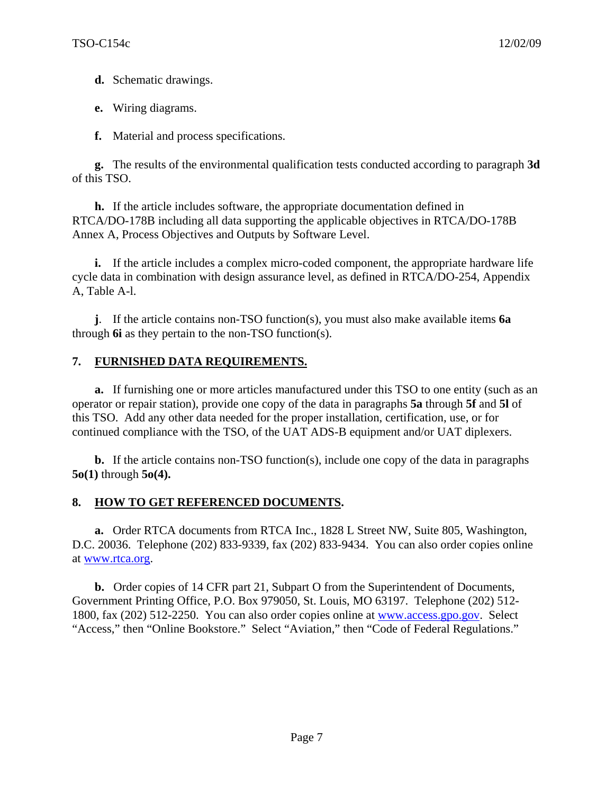**d.** Schematic drawings.

**e.** Wiring diagrams.

**f.** Material and process specifications.

**g.** The results of the environmental qualification tests conducted according to paragraph **3d** of this TSO.

**h.** If the article includes software, the appropriate documentation defined in RTCA/DO-178B including all data supporting the applicable objectives in RTCA/DO-178B Annex A, Process Objectives and Outputs by Software Level.

**i.** If the article includes a complex micro-coded component, the appropriate hardware life cycle data in combination with design assurance level, as defined in RTCA/DO-254, Appendix A, Table A-l.

**j**. If the article contains non-TSO function(s), you must also make available items **6a** through **6i** as they pertain to the non-TSO function(s).

## **7. FURNISHED DATA REQUIREMENTS.**

**a.** If furnishing one or more articles manufactured under this TSO to one entity (such as an operator or repair station), provide one copy of the data in paragraphs **5a** through **5f** and **5l** of this TSO. Add any other data needed for the proper installation, certification, use, or for continued compliance with the TSO, of the UAT ADS-B equipment and/or UAT diplexers.

**b.** If the article contains non-TSO function(s), include one copy of the data in paragraphs **5o(1)** through **5o(4).**

#### **8. HOW TO GET REFERENCED DOCUMENTS.**

**a.** Order RTCA documents from RTCA Inc., 1828 L Street NW, Suite 805, Washington, D.C. 20036. Telephone (202) 833-9339, fax (202) 833-9434. You can also order copies online at [www.rtca.org.](http://www.rtca.org/)

**b.** Order copies of 14 CFR part 21, Subpart O from the Superintendent of Documents, Government Printing Office, P.O. Box 979050, St. Louis, MO 63197. Telephone (202) 512- 1800, fax (202) 512-2250. You can also order copies online at [www.access.gpo.gov.](http://www.access.gpo.gov/) Select "Access," then "Online Bookstore." Select "Aviation," then "Code of Federal Regulations."